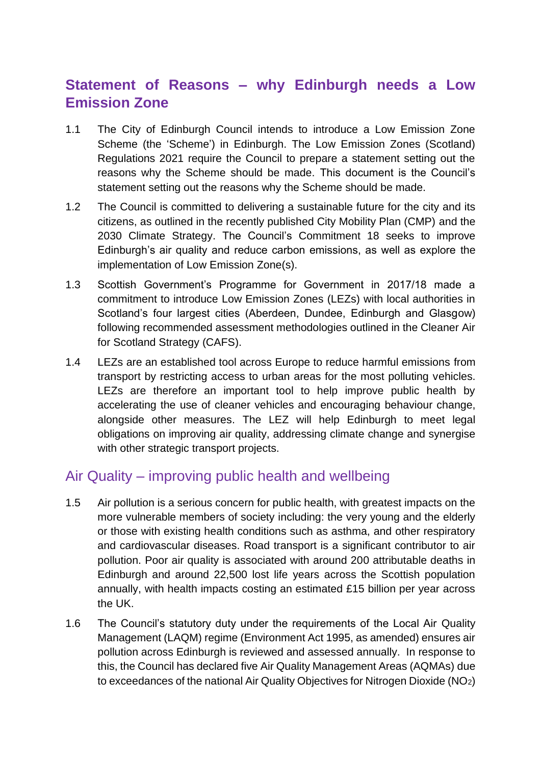# **Statement of Reasons – why Edinburgh needs a Low Emission Zone**

- 1.1 The City of Edinburgh Council intends to introduce a Low Emission Zone Scheme (the 'Scheme') in Edinburgh. The Low Emission Zones (Scotland) Regulations 2021 require the Council to prepare a statement setting out the reasons why the Scheme should be made. This document is the Council's statement setting out the reasons why the Scheme should be made.
- 1.2 The Council is committed to delivering a sustainable future for the city and its citizens, as outlined in the recently published City Mobility Plan (CMP) and the 2030 Climate Strategy. The Council's Commitment 18 seeks to improve Edinburgh's air quality and reduce carbon emissions, as well as explore the implementation of Low Emission Zone(s).
- 1.3 Scottish Government's Programme for Government in 2017/18 made a commitment to introduce Low Emission Zones (LEZs) with local authorities in Scotland's four largest cities (Aberdeen, Dundee, Edinburgh and Glasgow) following recommended assessment methodologies outlined in the Cleaner Air for Scotland Strategy (CAFS).
- 1.4 LEZs are an established tool across Europe to reduce harmful emissions from transport by restricting access to urban areas for the most polluting vehicles. LEZs are therefore an important tool to help improve public health by accelerating the use of cleaner vehicles and encouraging behaviour change, alongside other measures. The LEZ will help Edinburgh to meet legal obligations on improving air quality, addressing climate change and synergise with other strategic transport projects.

## Air Quality – improving public health and wellbeing

- 1.5 Air pollution is a serious concern for public health, with greatest impacts on the more vulnerable members of society including: the very young and the elderly or those with existing health conditions such as asthma, and other respiratory and cardiovascular diseases. Road transport is a significant contributor to air pollution. Poor air quality is associated with around 200 attributable deaths in Edinburgh and around 22,500 lost life years across the Scottish population annually, with health impacts costing an estimated £15 billion per year across the UK.
- 1.6 The Council's statutory duty under the requirements of the Local Air Quality Management (LAQM) regime (Environment Act 1995, as amended) ensures air pollution across Edinburgh is reviewed and assessed annually. In response to this, the Council has declared five Air Quality Management Areas (AQMAs) due to exceedances of the national Air Quality Objectives for Nitrogen Dioxide (NO2)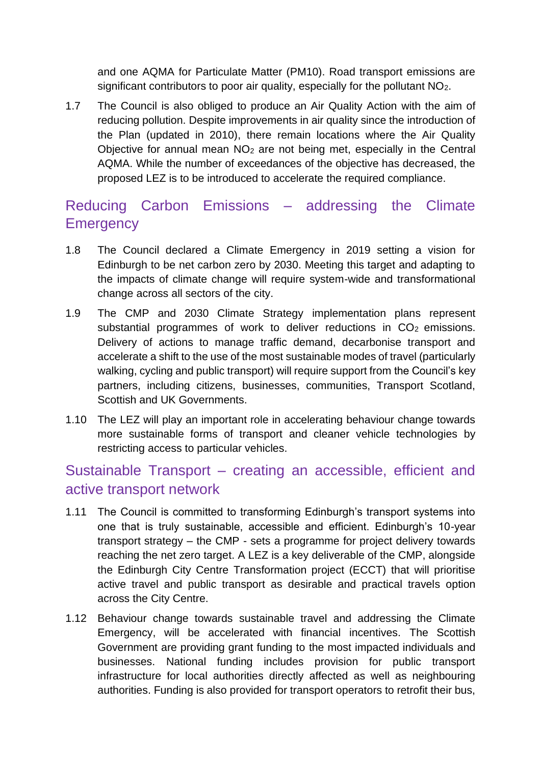and one AQMA for Particulate Matter (PM10). Road transport emissions are significant contributors to poor air quality, especially for the pollutant  $NO<sub>2</sub>$ .

1.7 The Council is also obliged to produce an Air Quality Action with the aim of reducing pollution. Despite improvements in air quality since the introduction of the Plan (updated in 2010), there remain locations where the Air Quality Objective for annual mean  $NO<sub>2</sub>$  are not being met, especially in the Central AQMA. While the number of exceedances of the objective has decreased, the proposed LEZ is to be introduced to accelerate the required compliance.

# Reducing Carbon Emissions – addressing the Climate **Emergency**

- 1.8 The Council declared a Climate Emergency in 2019 setting a vision for Edinburgh to be net carbon zero by 2030. Meeting this target and adapting to the impacts of climate change will require system-wide and transformational change across all sectors of the city.
- 1.9 The CMP and 2030 Climate Strategy implementation plans represent substantial programmes of work to deliver reductions in  $CO<sub>2</sub>$  emissions. Delivery of actions to manage traffic demand, decarbonise transport and accelerate a shift to the use of the most sustainable modes of travel (particularly walking, cycling and public transport) will require support from the Council's key partners, including citizens, businesses, communities, Transport Scotland, Scottish and UK Governments.
- 1.10 The LEZ will play an important role in accelerating behaviour change towards more sustainable forms of transport and cleaner vehicle technologies by restricting access to particular vehicles.

## Sustainable Transport – creating an accessible, efficient and active transport network

- 1.11 The Council is committed to transforming Edinburgh's transport systems into one that is truly sustainable, accessible and efficient. Edinburgh's 10-year transport strategy – the CMP - sets a programme for project delivery towards reaching the net zero target. A LEZ is a key deliverable of the CMP, alongside the Edinburgh City Centre Transformation project (ECCT) that will prioritise active travel and public transport as desirable and practical travels option across the City Centre.
- 1.12 Behaviour change towards sustainable travel and addressing the Climate Emergency, will be accelerated with financial incentives. The Scottish Government are providing grant funding to the most impacted individuals and businesses. National funding includes provision for public transport infrastructure for local authorities directly affected as well as neighbouring authorities. Funding is also provided for transport operators to retrofit their bus,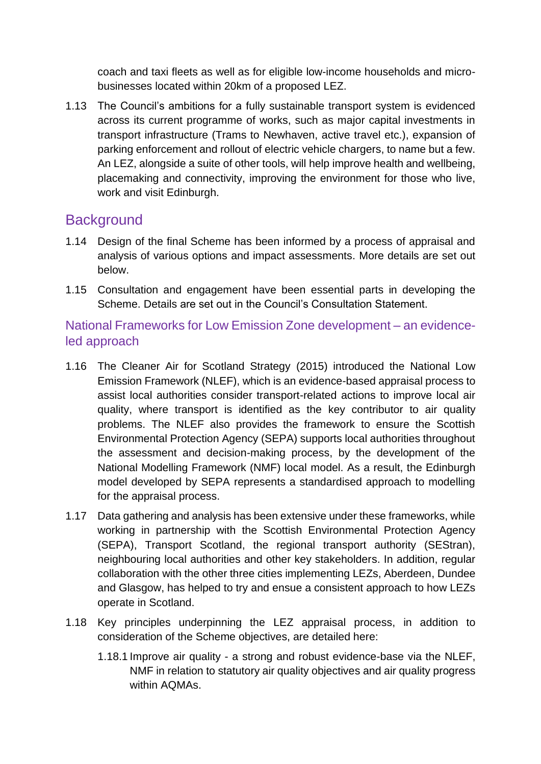coach and taxi fleets as well as for eligible low-income households and microbusinesses located within 20km of a proposed LEZ.

1.13 The Council's ambitions for a fully sustainable transport system is evidenced across its current programme of works, such as major capital investments in transport infrastructure (Trams to Newhaven, active travel etc.), expansion of parking enforcement and rollout of electric vehicle chargers, to name but a few. An LEZ, alongside a suite of other tools, will help improve health and wellbeing, placemaking and connectivity, improving the environment for those who live, work and visit Edinburgh.

### **Background**

- 1.14 Design of the final Scheme has been informed by a process of appraisal and analysis of various options and impact assessments. More details are set out below.
- 1.15 Consultation and engagement have been essential parts in developing the Scheme. Details are set out in the Council's Consultation Statement.

National Frameworks for Low Emission Zone development – an evidenceled approach

- 1.16 The Cleaner Air for Scotland Strategy (2015) introduced the National Low Emission Framework (NLEF), which is an evidence-based appraisal process to assist local authorities consider transport-related actions to improve local air quality, where transport is identified as the key contributor to air quality problems. The NLEF also provides the framework to ensure the Scottish Environmental Protection Agency (SEPA) supports local authorities throughout the assessment and decision-making process, by the development of the National Modelling Framework (NMF) local model. As a result, the Edinburgh model developed by SEPA represents a standardised approach to modelling for the appraisal process.
- 1.17 Data gathering and analysis has been extensive under these frameworks, while working in partnership with the Scottish Environmental Protection Agency (SEPA), Transport Scotland, the regional transport authority (SEStran), neighbouring local authorities and other key stakeholders. In addition, regular collaboration with the other three cities implementing LEZs, Aberdeen, Dundee and Glasgow, has helped to try and ensue a consistent approach to how LEZs operate in Scotland.
- 1.18 Key principles underpinning the LEZ appraisal process, in addition to consideration of the Scheme objectives, are detailed here:
	- 1.18.1 Improve air quality a strong and robust evidence-base via the NLEF, NMF in relation to statutory air quality objectives and air quality progress within AQMAs.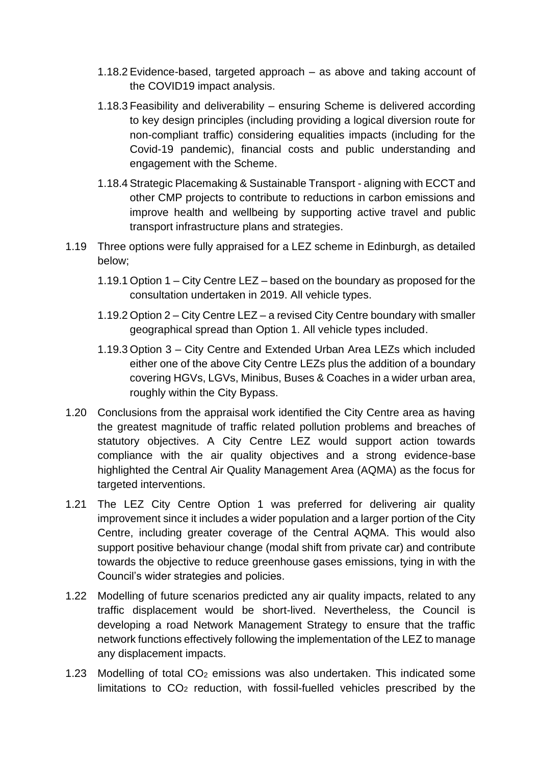- 1.18.2 Evidence-based, targeted approach as above and taking account of the COVID19 impact analysis.
- 1.18.3 Feasibility and deliverability ensuring Scheme is delivered according to key design principles (including providing a logical diversion route for non-compliant traffic) considering equalities impacts (including for the Covid-19 pandemic), financial costs and public understanding and engagement with the Scheme.
- 1.18.4 Strategic Placemaking & Sustainable Transport aligning with ECCT and other CMP projects to contribute to reductions in carbon emissions and improve health and wellbeing by supporting active travel and public transport infrastructure plans and strategies.
- 1.19 Three options were fully appraised for a LEZ scheme in Edinburgh, as detailed below;
	- 1.19.1 Option 1 City Centre LEZ based on the boundary as proposed for the consultation undertaken in 2019. All vehicle types.
	- 1.19.2 Option 2 City Centre LEZ a revised City Centre boundary with smaller geographical spread than Option 1. All vehicle types included.
	- 1.19.3 Option 3 City Centre and Extended Urban Area LEZs which included either one of the above City Centre LEZs plus the addition of a boundary covering HGVs, LGVs, Minibus, Buses & Coaches in a wider urban area, roughly within the City Bypass.
- 1.20 Conclusions from the appraisal work identified the City Centre area as having the greatest magnitude of traffic related pollution problems and breaches of statutory objectives. A City Centre LEZ would support action towards compliance with the air quality objectives and a strong evidence-base highlighted the Central Air Quality Management Area (AQMA) as the focus for targeted interventions.
- 1.21 The LEZ City Centre Option 1 was preferred for delivering air quality improvement since it includes a wider population and a larger portion of the City Centre, including greater coverage of the Central AQMA. This would also support positive behaviour change (modal shift from private car) and contribute towards the objective to reduce greenhouse gases emissions, tying in with the Council's wider strategies and policies.
- 1.22 Modelling of future scenarios predicted any air quality impacts, related to any traffic displacement would be short-lived. Nevertheless, the Council is developing a road Network Management Strategy to ensure that the traffic network functions effectively following the implementation of the LEZ to manage any displacement impacts.
- 1.23 Modelling of total CO<sup>2</sup> emissions was also undertaken. This indicated some limitations to  $CO<sub>2</sub>$  reduction, with fossil-fuelled vehicles prescribed by the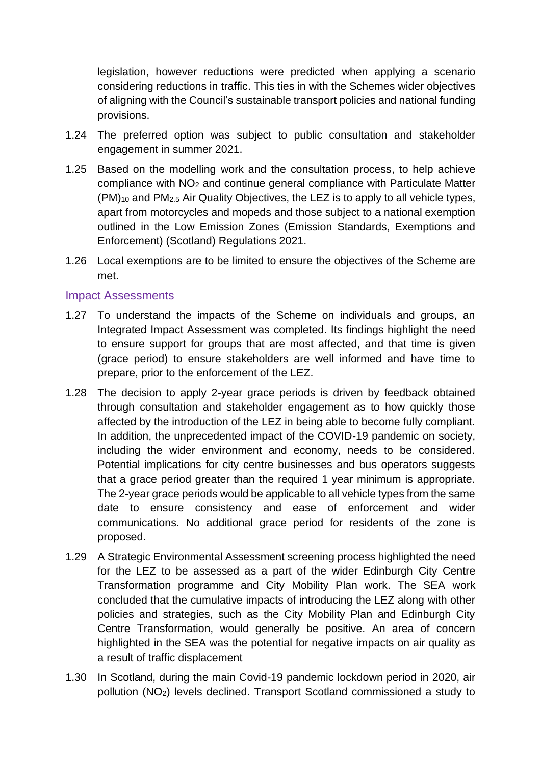legislation, however reductions were predicted when applying a scenario considering reductions in traffic. This ties in with the Schemes wider objectives of aligning with the Council's sustainable transport policies and national funding provisions.

- 1.24 The preferred option was subject to public consultation and stakeholder engagement in summer 2021.
- 1.25 Based on the modelling work and the consultation process, to help achieve compliance with NO<sup>2</sup> and continue general compliance with Particulate Matter (PM)<sup>10</sup> and PM2.5 Air Quality Objectives, the LEZ is to apply to all vehicle types, apart from motorcycles and mopeds and those subject to a national exemption outlined in the Low Emission Zones (Emission Standards, Exemptions and Enforcement) (Scotland) Regulations 2021.
- 1.26 Local exemptions are to be limited to ensure the objectives of the Scheme are met.

#### Impact Assessments

- 1.27 To understand the impacts of the Scheme on individuals and groups, an Integrated Impact Assessment was completed. Its findings highlight the need to ensure support for groups that are most affected, and that time is given (grace period) to ensure stakeholders are well informed and have time to prepare, prior to the enforcement of the LEZ.
- 1.28 The decision to apply 2-year grace periods is driven by feedback obtained through consultation and stakeholder engagement as to how quickly those affected by the introduction of the LEZ in being able to become fully compliant. In addition, the unprecedented impact of the COVID-19 pandemic on society, including the wider environment and economy, needs to be considered. Potential implications for city centre businesses and bus operators suggests that a grace period greater than the required 1 year minimum is appropriate. The 2-year grace periods would be applicable to all vehicle types from the same date to ensure consistency and ease of enforcement and wider communications. No additional grace period for residents of the zone is proposed.
- 1.29 A Strategic Environmental Assessment screening process highlighted the need for the LEZ to be assessed as a part of the wider Edinburgh City Centre Transformation programme and City Mobility Plan work. The SEA work concluded that the cumulative impacts of introducing the LEZ along with other policies and strategies, such as the City Mobility Plan and Edinburgh City Centre Transformation, would generally be positive. An area of concern highlighted in the SEA was the potential for negative impacts on air quality as a result of traffic displacement
- 1.30 In Scotland, during the main Covid-19 pandemic lockdown period in 2020, air pollution (NO2) levels declined. Transport Scotland commissioned a study to